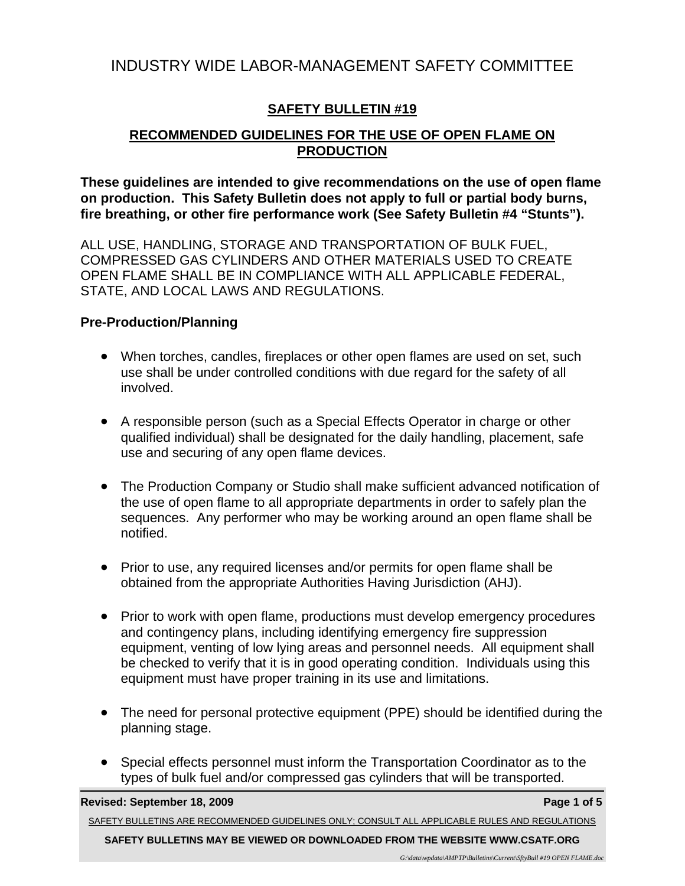# INDUSTRY WIDE LABOR-MANAGEMENT SAFETY COMMITTEE

# **SAFETY BULLETIN #19**

# **RECOMMENDED GUIDELINES FOR THE USE OF OPEN FLAME ON PRODUCTION**

**These guidelines are intended to give recommendations on the use of open flame on production. This Safety Bulletin does not apply to full or partial body burns, fire breathing, or other fire performance work (See Safety Bulletin #4 "Stunts").** 

ALL USE, HANDLING, STORAGE AND TRANSPORTATION OF BULK FUEL, COMPRESSED GAS CYLINDERS AND OTHER MATERIALS USED TO CREATE OPEN FLAME SHALL BE IN COMPLIANCE WITH ALL APPLICABLE FEDERAL, STATE, AND LOCAL LAWS AND REGULATIONS.

# **Pre-Production/Planning**

- When torches, candles, fireplaces or other open flames are used on set, such use shall be under controlled conditions with due regard for the safety of all involved.
- A responsible person (such as a Special Effects Operator in charge or other qualified individual) shall be designated for the daily handling, placement, safe use and securing of any open flame devices.
- The Production Company or Studio shall make sufficient advanced notification of the use of open flame to all appropriate departments in order to safely plan the sequences. Any performer who may be working around an open flame shall be notified.
- Prior to use, any required licenses and/or permits for open flame shall be obtained from the appropriate Authorities Having Jurisdiction (AHJ).
- Prior to work with open flame, productions must develop emergency procedures and contingency plans, including identifying emergency fire suppression equipment, venting of low lying areas and personnel needs. All equipment shall be checked to verify that it is in good operating condition. Individuals using this equipment must have proper training in its use and limitations.
- The need for personal protective equipment (PPE) should be identified during the planning stage.
- Special effects personnel must inform the Transportation Coordinator as to the types of bulk fuel and/or compressed gas cylinders that will be transported.

**Revised: September 18, 2009 Page 1 of 5 Page 1 of 5 Page 1 of 5** 

SAFETY BULLETINS ARE RECOMMENDED GUIDELINES ONLY; CONSULT ALL APPLICABLE RULES AND REGULATIONS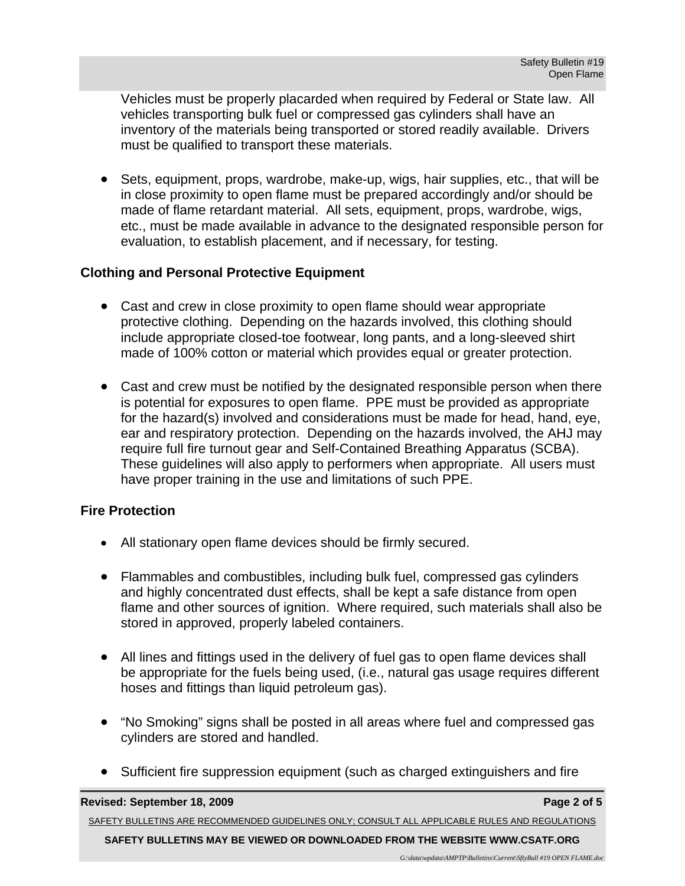Vehicles must be properly placarded when required by Federal or State law. All vehicles transporting bulk fuel or compressed gas cylinders shall have an inventory of the materials being transported or stored readily available. Drivers must be qualified to transport these materials.

 Sets, equipment, props, wardrobe, make-up, wigs, hair supplies, etc., that will be in close proximity to open flame must be prepared accordingly and/or should be made of flame retardant material. All sets, equipment, props, wardrobe, wigs, etc., must be made available in advance to the designated responsible person for evaluation, to establish placement, and if necessary, for testing.

# **Clothing and Personal Protective Equipment**

- Cast and crew in close proximity to open flame should wear appropriate protective clothing. Depending on the hazards involved, this clothing should include appropriate closed-toe footwear, long pants, and a long-sleeved shirt made of 100% cotton or material which provides equal or greater protection.
- Cast and crew must be notified by the designated responsible person when there is potential for exposures to open flame. PPE must be provided as appropriate for the hazard(s) involved and considerations must be made for head, hand, eye, ear and respiratory protection. Depending on the hazards involved, the AHJ may require full fire turnout gear and Self-Contained Breathing Apparatus (SCBA). These guidelines will also apply to performers when appropriate. All users must have proper training in the use and limitations of such PPE.

# **Fire Protection**

- All stationary open flame devices should be firmly secured.
- Flammables and combustibles, including bulk fuel, compressed gas cylinders and highly concentrated dust effects, shall be kept a safe distance from open flame and other sources of ignition. Where required, such materials shall also be stored in approved, properly labeled containers.
- All lines and fittings used in the delivery of fuel gas to open flame devices shall be appropriate for the fuels being used, (i.e., natural gas usage requires different hoses and fittings than liquid petroleum gas).
- "No Smoking" signs shall be posted in all areas where fuel and compressed gas cylinders are stored and handled.
- Sufficient fire suppression equipment (such as charged extinguishers and fire

#### **Revised: September 18, 2009 Page 2 of 5 Page 2 of 5 Page 2 of 5**

SAFETY BULLETINS ARE RECOMMENDED GUIDELINES ONLY; CONSULT ALL APPLICABLE RULES AND REGULATIONS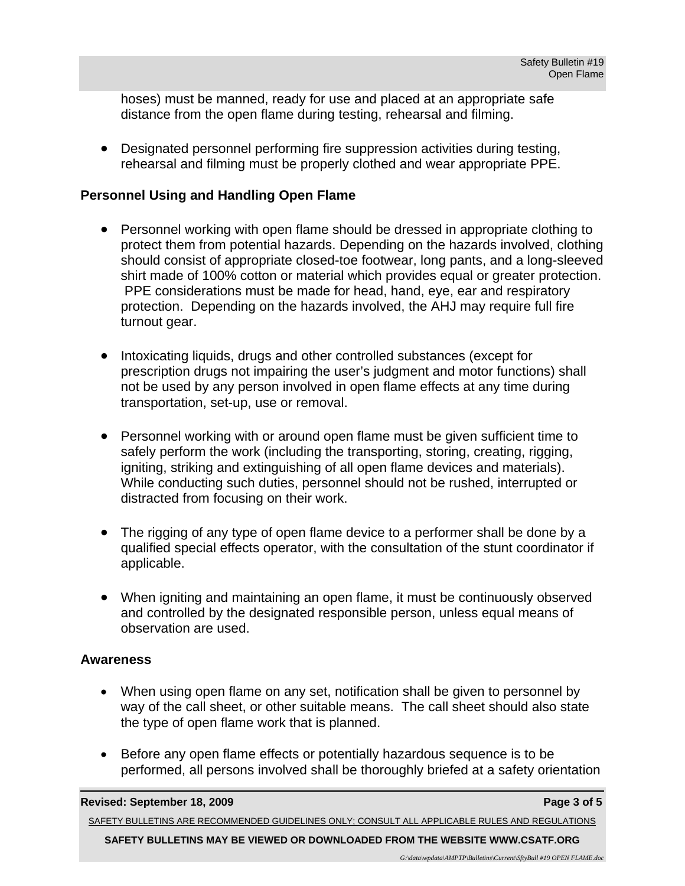hoses) must be manned, ready for use and placed at an appropriate safe distance from the open flame during testing, rehearsal and filming.

 Designated personnel performing fire suppression activities during testing, rehearsal and filming must be properly clothed and wear appropriate PPE.

### **Personnel Using and Handling Open Flame**

- Personnel working with open flame should be dressed in appropriate clothing to protect them from potential hazards. Depending on the hazards involved, clothing should consist of appropriate closed-toe footwear, long pants, and a long-sleeved shirt made of 100% cotton or material which provides equal or greater protection. PPE considerations must be made for head, hand, eye, ear and respiratory protection. Depending on the hazards involved, the AHJ may require full fire turnout gear.
- Intoxicating liquids, drugs and other controlled substances (except for prescription drugs not impairing the user's judgment and motor functions) shall not be used by any person involved in open flame effects at any time during transportation, set-up, use or removal.
- Personnel working with or around open flame must be given sufficient time to safely perform the work (including the transporting, storing, creating, rigging, igniting, striking and extinguishing of all open flame devices and materials). While conducting such duties, personnel should not be rushed, interrupted or distracted from focusing on their work.
- The rigging of any type of open flame device to a performer shall be done by a qualified special effects operator, with the consultation of the stunt coordinator if applicable.
- When igniting and maintaining an open flame, it must be continuously observed and controlled by the designated responsible person, unless equal means of observation are used.

### **Awareness**

- When using open flame on any set, notification shall be given to personnel by way of the call sheet, or other suitable means. The call sheet should also state the type of open flame work that is planned.
- Before any open flame effects or potentially hazardous sequence is to be performed, all persons involved shall be thoroughly briefed at a safety orientation

**Revised: September 18, 2009 Page 3 of 5 Page 3 of 5 Page 3 of 5** 

SAFETY BULLETINS ARE RECOMMENDED GUIDELINES ONLY; CONSULT ALL APPLICABLE RULES AND REGULATIONS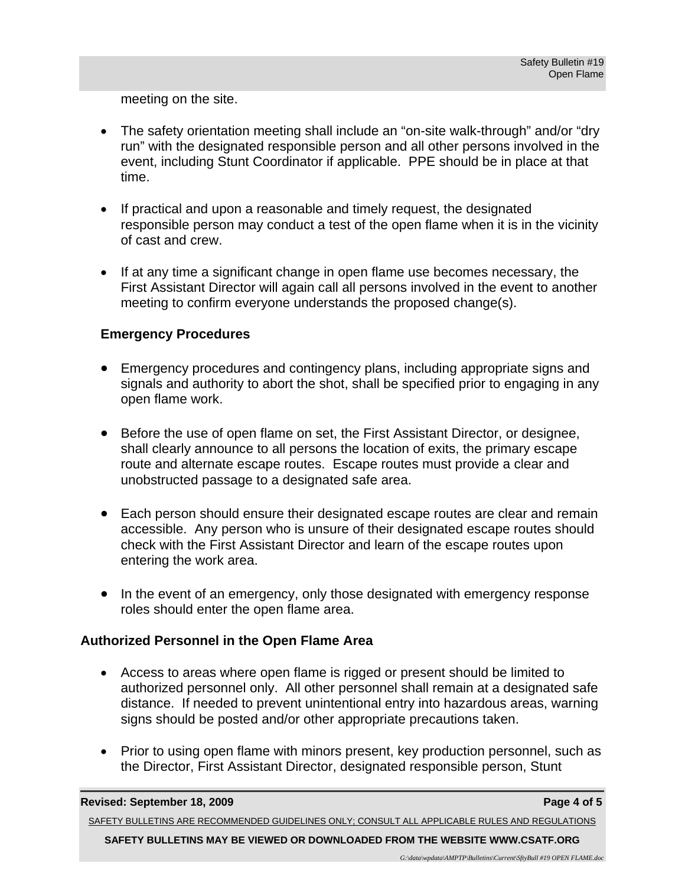meeting on the site.

- The safety orientation meeting shall include an "on-site walk-through" and/or "dry run" with the designated responsible person and all other persons involved in the event, including Stunt Coordinator if applicable. PPE should be in place at that time.
- If practical and upon a reasonable and timely request, the designated responsible person may conduct a test of the open flame when it is in the vicinity of cast and crew.
- If at any time a significant change in open flame use becomes necessary, the First Assistant Director will again call all persons involved in the event to another meeting to confirm everyone understands the proposed change(s).

### **Emergency Procedures**

- Emergency procedures and contingency plans, including appropriate signs and signals and authority to abort the shot, shall be specified prior to engaging in any open flame work.
- Before the use of open flame on set, the First Assistant Director, or designee, shall clearly announce to all persons the location of exits, the primary escape route and alternate escape routes. Escape routes must provide a clear and unobstructed passage to a designated safe area.
- Each person should ensure their designated escape routes are clear and remain accessible. Any person who is unsure of their designated escape routes should check with the First Assistant Director and learn of the escape routes upon entering the work area.
- In the event of an emergency, only those designated with emergency response roles should enter the open flame area.

# **Authorized Personnel in the Open Flame Area**

- Access to areas where open flame is rigged or present should be limited to authorized personnel only. All other personnel shall remain at a designated safe distance. If needed to prevent unintentional entry into hazardous areas, warning signs should be posted and/or other appropriate precautions taken.
- Prior to using open flame with minors present, key production personnel, such as the Director, First Assistant Director, designated responsible person, Stunt

SAFETY BULLETINS ARE RECOMMENDED GUIDELINES ONLY; CONSULT ALL APPLICABLE RULES AND REGULATIONS